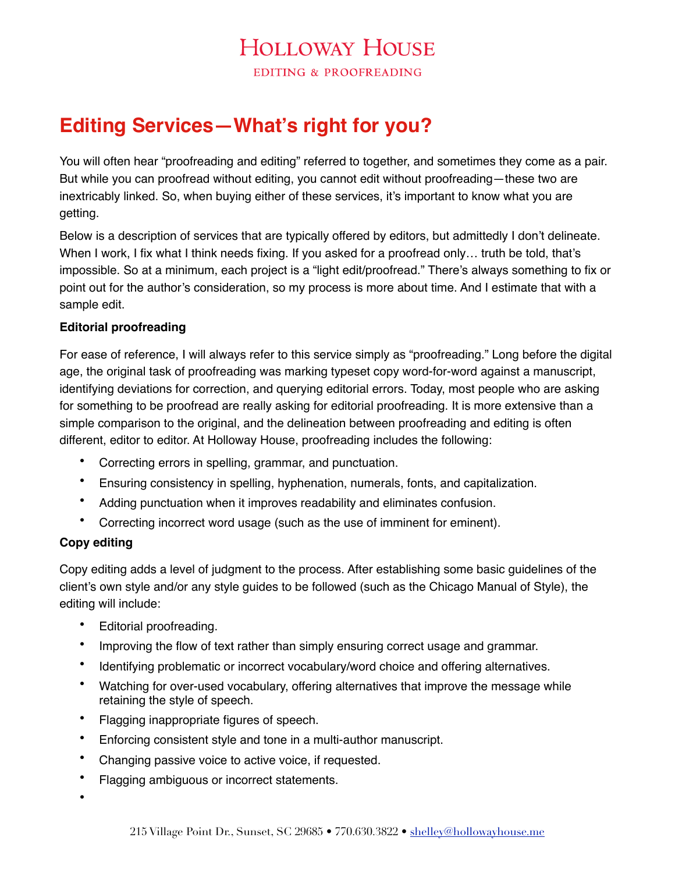# **HOLLOWAY HOUSE**

**EDITING & PROOFREADING** 

# **Editing Services—What's right for you?**

You will often hear "proofreading and editing" referred to together, and sometimes they come as a pair. But while you can proofread without editing, you cannot edit without proofreading—these two are inextricably linked. So, when buying either of these services, it's important to know what you are getting.

Below is a description of services that are typically offered by editors, but admittedly I don't delineate. When I work, I fix what I think needs fixing. If you asked for a proofread only... truth be told, that's impossible. So at a minimum, each project is a "light edit/proofread." There's always something to fix or point out for the author's consideration, so my process is more about time. And I estimate that with a sample edit.

#### **Editorial proofreading**

For ease of reference, I will always refer to this service simply as "proofreading." Long before the digital age, the original task of proofreading was marking typeset copy word-for-word against a manuscript, identifying deviations for correction, and querying editorial errors. Today, most people who are asking for something to be proofread are really asking for editorial proofreading. It is more extensive than a simple comparison to the original, and the delineation between proofreading and editing is often different, editor to editor. At Holloway House, proofreading includes the following:

- Correcting errors in spelling, grammar, and punctuation.
- Ensuring consistency in spelling, hyphenation, numerals, fonts, and capitalization.
- Adding punctuation when it improves readability and eliminates confusion.
- Correcting incorrect word usage (such as the use of imminent for eminent).

#### **Copy editing**

Copy editing adds a level of judgment to the process. After establishing some basic guidelines of the client's own style and/or any style guides to be followed (such as the Chicago Manual of Style), the editing will include:

- Editorial proofreading.
- Improving the flow of text rather than simply ensuring correct usage and grammar.
- Identifying problematic or incorrect vocabulary/word choice and offering alternatives.
- Watching for over-used vocabulary, offering alternatives that improve the message while retaining the style of speech.
- Flagging inappropriate figures of speech.
- Enforcing consistent style and tone in a multi-author manuscript.
- Changing passive voice to active voice, if requested.
- Flagging ambiguous or incorrect statements.
- •